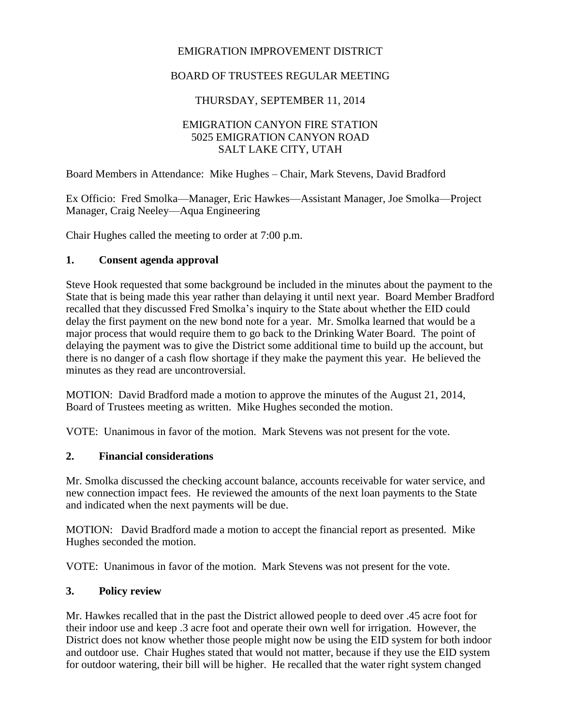### EMIGRATION IMPROVEMENT DISTRICT

### BOARD OF TRUSTEES REGULAR MEETING

### THURSDAY, SEPTEMBER 11, 2014

#### EMIGRATION CANYON FIRE STATION 5025 EMIGRATION CANYON ROAD SALT LAKE CITY, UTAH

Board Members in Attendance: Mike Hughes – Chair, Mark Stevens, David Bradford

Ex Officio: Fred Smolka—Manager, Eric Hawkes—Assistant Manager, Joe Smolka—Project Manager, Craig Neeley—Aqua Engineering

Chair Hughes called the meeting to order at 7:00 p.m.

#### **1. Consent agenda approval**

Steve Hook requested that some background be included in the minutes about the payment to the State that is being made this year rather than delaying it until next year. Board Member Bradford recalled that they discussed Fred Smolka's inquiry to the State about whether the EID could delay the first payment on the new bond note for a year. Mr. Smolka learned that would be a major process that would require them to go back to the Drinking Water Board. The point of delaying the payment was to give the District some additional time to build up the account, but there is no danger of a cash flow shortage if they make the payment this year. He believed the minutes as they read are uncontroversial.

MOTION: David Bradford made a motion to approve the minutes of the August 21, 2014, Board of Trustees meeting as written. Mike Hughes seconded the motion.

VOTE: Unanimous in favor of the motion. Mark Stevens was not present for the vote.

#### **2. Financial considerations**

Mr. Smolka discussed the checking account balance, accounts receivable for water service, and new connection impact fees. He reviewed the amounts of the next loan payments to the State and indicated when the next payments will be due.

MOTION: David Bradford made a motion to accept the financial report as presented. Mike Hughes seconded the motion.

VOTE: Unanimous in favor of the motion. Mark Stevens was not present for the vote.

#### **3. Policy review**

Mr. Hawkes recalled that in the past the District allowed people to deed over .45 acre foot for their indoor use and keep .3 acre foot and operate their own well for irrigation. However, the District does not know whether those people might now be using the EID system for both indoor and outdoor use. Chair Hughes stated that would not matter, because if they use the EID system for outdoor watering, their bill will be higher. He recalled that the water right system changed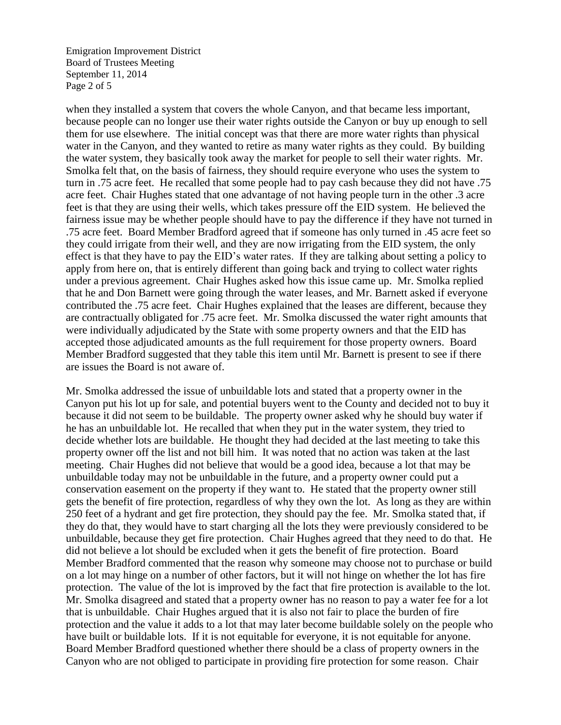Emigration Improvement District Board of Trustees Meeting September 11, 2014 Page 2 of 5

when they installed a system that covers the whole Canyon, and that became less important, because people can no longer use their water rights outside the Canyon or buy up enough to sell them for use elsewhere. The initial concept was that there are more water rights than physical water in the Canyon, and they wanted to retire as many water rights as they could. By building the water system, they basically took away the market for people to sell their water rights. Mr. Smolka felt that, on the basis of fairness, they should require everyone who uses the system to turn in .75 acre feet. He recalled that some people had to pay cash because they did not have .75 acre feet. Chair Hughes stated that one advantage of not having people turn in the other .3 acre feet is that they are using their wells, which takes pressure off the EID system. He believed the fairness issue may be whether people should have to pay the difference if they have not turned in .75 acre feet. Board Member Bradford agreed that if someone has only turned in .45 acre feet so they could irrigate from their well, and they are now irrigating from the EID system, the only effect is that they have to pay the EID's water rates. If they are talking about setting a policy to apply from here on, that is entirely different than going back and trying to collect water rights under a previous agreement. Chair Hughes asked how this issue came up. Mr. Smolka replied that he and Don Barnett were going through the water leases, and Mr. Barnett asked if everyone contributed the .75 acre feet. Chair Hughes explained that the leases are different, because they are contractually obligated for .75 acre feet. Mr. Smolka discussed the water right amounts that were individually adjudicated by the State with some property owners and that the EID has accepted those adjudicated amounts as the full requirement for those property owners. Board Member Bradford suggested that they table this item until Mr. Barnett is present to see if there are issues the Board is not aware of.

Mr. Smolka addressed the issue of unbuildable lots and stated that a property owner in the Canyon put his lot up for sale, and potential buyers went to the County and decided not to buy it because it did not seem to be buildable. The property owner asked why he should buy water if he has an unbuildable lot. He recalled that when they put in the water system, they tried to decide whether lots are buildable. He thought they had decided at the last meeting to take this property owner off the list and not bill him. It was noted that no action was taken at the last meeting. Chair Hughes did not believe that would be a good idea, because a lot that may be unbuildable today may not be unbuildable in the future, and a property owner could put a conservation easement on the property if they want to. He stated that the property owner still gets the benefit of fire protection, regardless of why they own the lot. As long as they are within 250 feet of a hydrant and get fire protection, they should pay the fee. Mr. Smolka stated that, if they do that, they would have to start charging all the lots they were previously considered to be unbuildable, because they get fire protection. Chair Hughes agreed that they need to do that. He did not believe a lot should be excluded when it gets the benefit of fire protection. Board Member Bradford commented that the reason why someone may choose not to purchase or build on a lot may hinge on a number of other factors, but it will not hinge on whether the lot has fire protection. The value of the lot is improved by the fact that fire protection is available to the lot. Mr. Smolka disagreed and stated that a property owner has no reason to pay a water fee for a lot that is unbuildable. Chair Hughes argued that it is also not fair to place the burden of fire protection and the value it adds to a lot that may later become buildable solely on the people who have built or buildable lots. If it is not equitable for everyone, it is not equitable for anyone. Board Member Bradford questioned whether there should be a class of property owners in the Canyon who are not obliged to participate in providing fire protection for some reason. Chair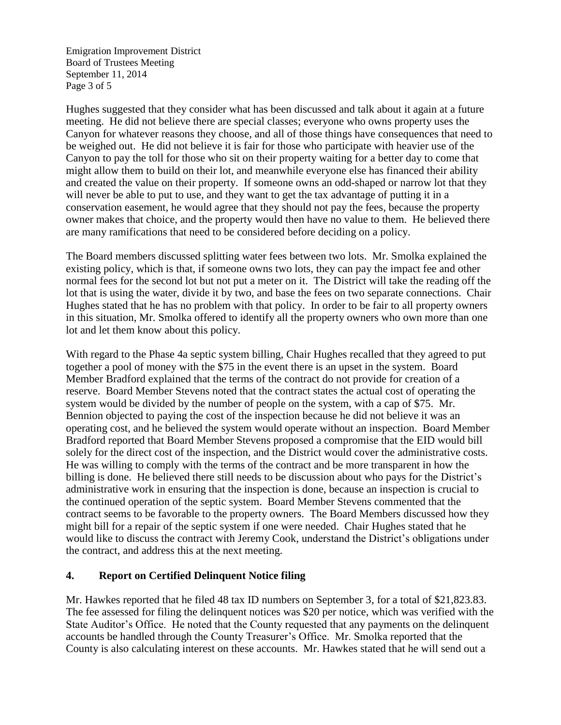Emigration Improvement District Board of Trustees Meeting September 11, 2014 Page 3 of 5

Hughes suggested that they consider what has been discussed and talk about it again at a future meeting. He did not believe there are special classes; everyone who owns property uses the Canyon for whatever reasons they choose, and all of those things have consequences that need to be weighed out. He did not believe it is fair for those who participate with heavier use of the Canyon to pay the toll for those who sit on their property waiting for a better day to come that might allow them to build on their lot, and meanwhile everyone else has financed their ability and created the value on their property. If someone owns an odd-shaped or narrow lot that they will never be able to put to use, and they want to get the tax advantage of putting it in a conservation easement, he would agree that they should not pay the fees, because the property owner makes that choice, and the property would then have no value to them. He believed there are many ramifications that need to be considered before deciding on a policy.

The Board members discussed splitting water fees between two lots. Mr. Smolka explained the existing policy, which is that, if someone owns two lots, they can pay the impact fee and other normal fees for the second lot but not put a meter on it. The District will take the reading off the lot that is using the water, divide it by two, and base the fees on two separate connections. Chair Hughes stated that he has no problem with that policy. In order to be fair to all property owners in this situation, Mr. Smolka offered to identify all the property owners who own more than one lot and let them know about this policy.

With regard to the Phase 4a septic system billing, Chair Hughes recalled that they agreed to put together a pool of money with the \$75 in the event there is an upset in the system. Board Member Bradford explained that the terms of the contract do not provide for creation of a reserve. Board Member Stevens noted that the contract states the actual cost of operating the system would be divided by the number of people on the system, with a cap of \$75. Mr. Bennion objected to paying the cost of the inspection because he did not believe it was an operating cost, and he believed the system would operate without an inspection. Board Member Bradford reported that Board Member Stevens proposed a compromise that the EID would bill solely for the direct cost of the inspection, and the District would cover the administrative costs. He was willing to comply with the terms of the contract and be more transparent in how the billing is done. He believed there still needs to be discussion about who pays for the District's administrative work in ensuring that the inspection is done, because an inspection is crucial to the continued operation of the septic system. Board Member Stevens commented that the contract seems to be favorable to the property owners. The Board Members discussed how they might bill for a repair of the septic system if one were needed. Chair Hughes stated that he would like to discuss the contract with Jeremy Cook, understand the District's obligations under the contract, and address this at the next meeting.

### **4. Report on Certified Delinquent Notice filing**

Mr. Hawkes reported that he filed 48 tax ID numbers on September 3, for a total of \$21,823.83. The fee assessed for filing the delinquent notices was \$20 per notice, which was verified with the State Auditor's Office. He noted that the County requested that any payments on the delinquent accounts be handled through the County Treasurer's Office. Mr. Smolka reported that the County is also calculating interest on these accounts. Mr. Hawkes stated that he will send out a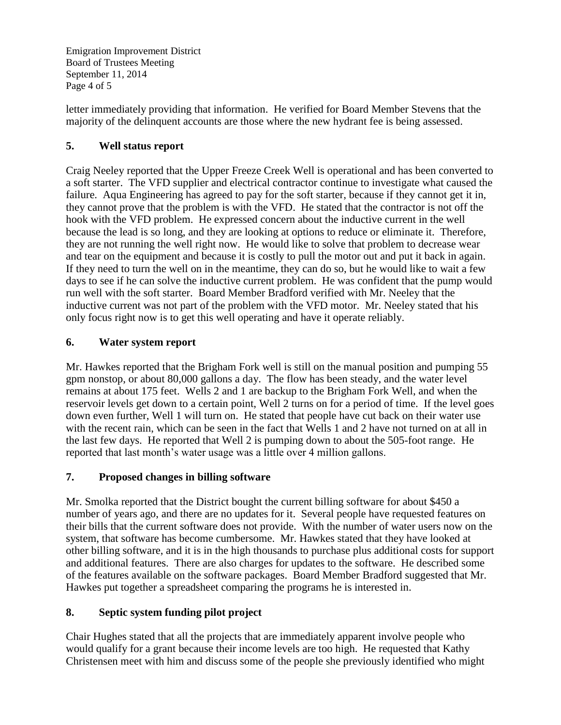Emigration Improvement District Board of Trustees Meeting September 11, 2014 Page 4 of 5

letter immediately providing that information. He verified for Board Member Stevens that the majority of the delinquent accounts are those where the new hydrant fee is being assessed.

# **5. Well status report**

Craig Neeley reported that the Upper Freeze Creek Well is operational and has been converted to a soft starter. The VFD supplier and electrical contractor continue to investigate what caused the failure. Aqua Engineering has agreed to pay for the soft starter, because if they cannot get it in, they cannot prove that the problem is with the VFD. He stated that the contractor is not off the hook with the VFD problem. He expressed concern about the inductive current in the well because the lead is so long, and they are looking at options to reduce or eliminate it. Therefore, they are not running the well right now. He would like to solve that problem to decrease wear and tear on the equipment and because it is costly to pull the motor out and put it back in again. If they need to turn the well on in the meantime, they can do so, but he would like to wait a few days to see if he can solve the inductive current problem. He was confident that the pump would run well with the soft starter. Board Member Bradford verified with Mr. Neeley that the inductive current was not part of the problem with the VFD motor. Mr. Neeley stated that his only focus right now is to get this well operating and have it operate reliably.

# **6. Water system report**

Mr. Hawkes reported that the Brigham Fork well is still on the manual position and pumping 55 gpm nonstop, or about 80,000 gallons a day. The flow has been steady, and the water level remains at about 175 feet. Wells 2 and 1 are backup to the Brigham Fork Well, and when the reservoir levels get down to a certain point, Well 2 turns on for a period of time. If the level goes down even further, Well 1 will turn on. He stated that people have cut back on their water use with the recent rain, which can be seen in the fact that Wells 1 and 2 have not turned on at all in the last few days. He reported that Well 2 is pumping down to about the 505-foot range. He reported that last month's water usage was a little over 4 million gallons.

# **7. Proposed changes in billing software**

Mr. Smolka reported that the District bought the current billing software for about \$450 a number of years ago, and there are no updates for it. Several people have requested features on their bills that the current software does not provide. With the number of water users now on the system, that software has become cumbersome. Mr. Hawkes stated that they have looked at other billing software, and it is in the high thousands to purchase plus additional costs for support and additional features. There are also charges for updates to the software. He described some of the features available on the software packages. Board Member Bradford suggested that Mr. Hawkes put together a spreadsheet comparing the programs he is interested in.

# **8. Septic system funding pilot project**

Chair Hughes stated that all the projects that are immediately apparent involve people who would qualify for a grant because their income levels are too high. He requested that Kathy Christensen meet with him and discuss some of the people she previously identified who might